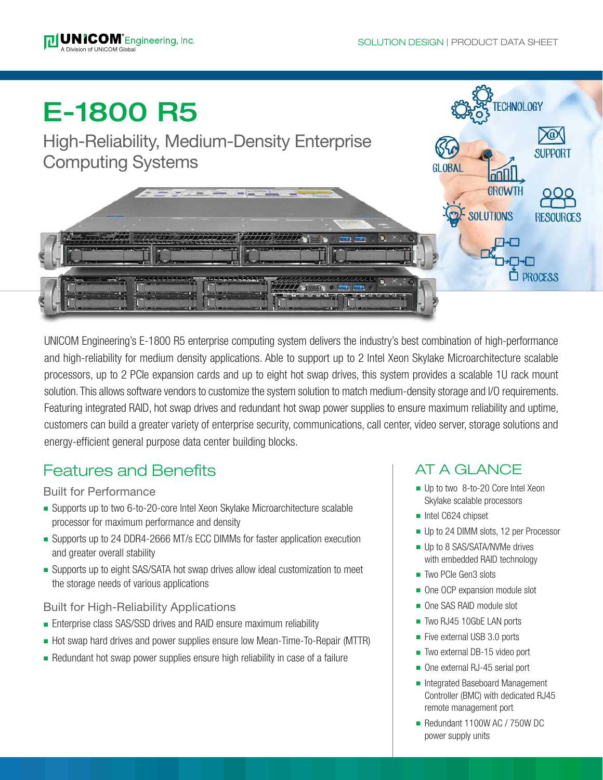**TECHNOLOGY** 

**SUPPORT** 

# E-1800 R5

High-Reliability, Medium-Density Enterprise Computing Systems



UNICOM Engineering's E-1800 R5 enterprise computing system delivers the industry's best combination of high-performance and high-reliability for medium density applications. Able to support up to 2 Intel Xeon Skylake Microarchitecture scalable processors, up to 2 PCIe expansion cards and up to eight hot swap drives, this system provides a scalable 1U rack mount solution. This allows software vendors to customize the system solution to match medium-density storage and I/O requirements. Featuring integrated RAID, hot swap drives and redundant hot swap power supplies to ensure maximum reliability and uptime, customers can build a greater variety of enterprise security, communications, call center, video server, storage solutions and energy-efficient general purpose data center building blocks.

## Features and Benefits

#### Built for Performance

- Supports up to two 6-to-20-core Intel Xeon Skylake Microarchitecture scalable processor for maximum performance and density
- Supports up to 24 DDR4-2666 MT/s ECC DIMMs for faster application execution and greater overall stability
- <sup>n</sup> Supports up to eight SAS/SATA hot swap drives allow ideal customization to meet the storage needs of various applications

#### Built for High-Reliability Applications

- Enterprise class SAS/SSD drives and RAID ensure maximum reliability
- Hot swap hard drives and power supplies ensure low Mean-Time-To-Repair (MTTR)
- $\blacksquare$  Redundant hot swap power supplies ensure high reliability in case of a failure

## AT A GLANCE

- Up to two 8-to-20 Core Intel Xeon Skylake scalable processors
- ntel C624 chipset
- Up to 24 DIMM slots, 12 per Processor
- **u** Up to 8 SAS/SATA/NVMe drives with embedded RAID technology
- Two PCIe Gen3 slots
- One OCP expansion module slot
- One SAS RAID module slot
- Two RJ45 10GbE LAN ports
- Five external USB 3.0 ports
- Two external DB-15 video port
- One external RJ-45 serial port
- Integrated Baseboard Management Controller (BMC) with dedicated RJ45 remote management port
- Redundant 1100W AC / 750W DC power supply units